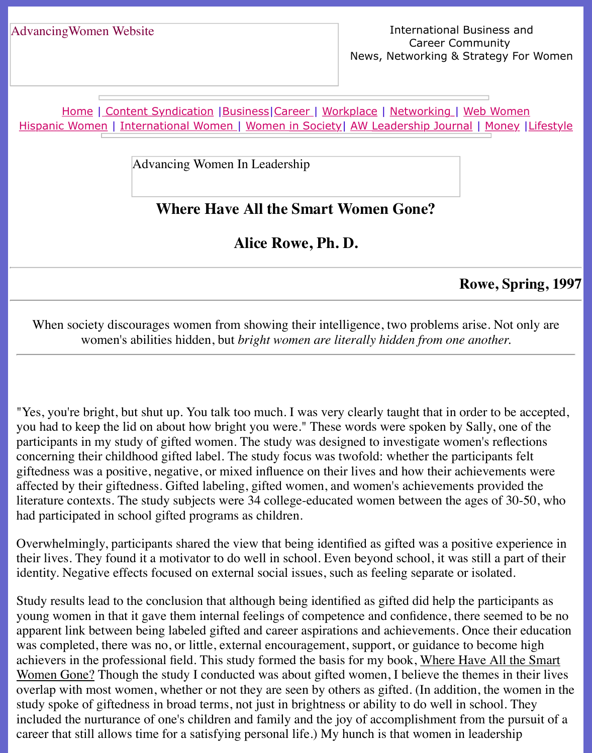Home | Content Syndication | Business | Career | Workplace | Networking | Web Wo Hispanic Women | International Women | Women in Society | AW Leadership Journal | Mon

Advancing Women In Leadership

# **[Where H](file:///content.html)[ave All t](file:///business.html)[he Sm](file:///awcareer.html)a[rt Wome](file:///workplace.html)n [Gone?](file:///networks.html)**

**Alice Rowe, Ph. D.**

#### **Rowe**,

When society discourages women from showing their intelligence, two problems arise. N women's abilities hidden, but *bright women are literally hidden from one anotherally* 

"Yes, you're bright, but shut up. You talk too much. I was very clearly taught that in order to you had to keep the lid on about how bright you were." These words were spoken by Sally, on participants in my study of gifted women. The study was designed to investigate women's re concerning their childhood gifted label. The study focus was twofold: whether the participan giftedness was a positive, negative, or mixed influence on their lives and how their achievem affected by their giftedness. Gifted labeling, gifted women, and women's achievements provided the theory literature contexts. The study subjects were 34 college-educated women between the ages of had participated in school gifted programs as children.

Overwhelmingly, participants shared the view that being identified as gifted was a positive experience their lives. They found it a motivator to do well in school. Even beyond school, it was still a identity. Negative effects focused on external social issues, such as feeling separate or isolate

Study results lead to the conclusion that although being identified as gifted did help the partic young women in that it gave them internal feelings of competence and confidence, there seem apparent link between being labeled gifted and career aspirations and achievements. Once the was completed, there was no, or little, external encouragement, support, or guidance to become achievers in the professional field. This study formed the basis for my book, Where Have Al Women Gone? Though the study I conducted was about gifted women, I believe the themes overlap with most women, whether or not they are seen by others as gifted. (In addition, the study spoke of giftedness in broad terms, not just in brightness or ability to do well in school. included the nurturance of one's children and family and the joy of accomplishment from the career that still allows time for a satisfying personal life.) My hunch is that women in leaders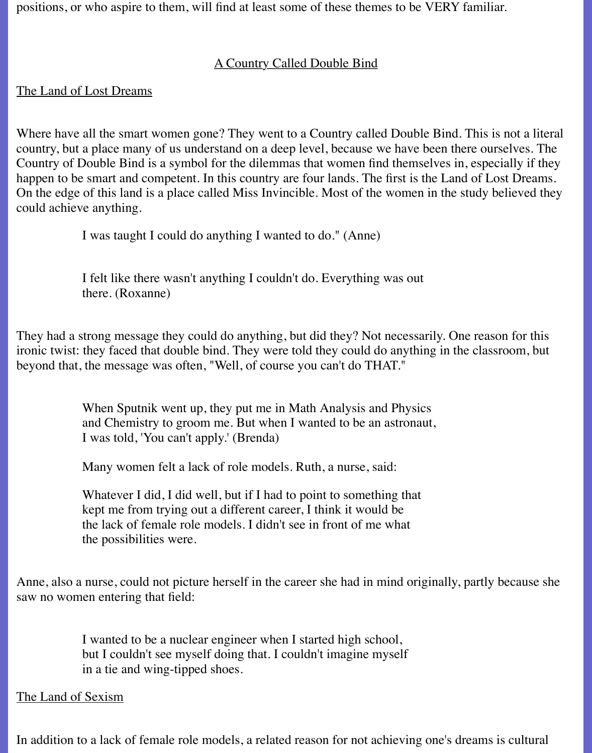positions, or who aspire to them, will find at least some of these themes to be VERY familiar.

#### A Country Called Double Bind

#### The Land of Lost Dreams

Where have all the smart women gone? They went to a Country called Double Bind. This is not a literal country, but a place many of us understand on a deep level, because we have been there ourselves. The Country of Double Bind is a symbol for the dilemmas that women find themselves in, especially if they happen to be smart and competent. In this country are four lands. The first is the Land of Lost Dreams. On the edge of this land is a place called Miss Invincible. Most of the women in the study believed they could achieve anything.

I was taught I could do anything I wanted to do." (Anne)

I felt like there wasn't anything I couldn't do. Everything was out there. (Roxanne)

They had a strong message they could do anything, but did they? Not necessarily. One reason for this ironic twist: they faced that double bind. They were told they could do anything in the classroom, but beyond that, the message was often, "Well, of course you can't do THAT."

> When Sputnik went up, they put me in Math Analysis and Physics and Chemistry to groom me. But when I wanted to be an astronaut, I was told, 'You can't apply.' (Brenda)

Many women felt a lack of role models. Ruth, a nurse, said:

Whatever I did, I did well, but if I had to point to something that kept me from trying out a different career, I think it would be the lack of female role models. I didn't see in front of me what the possibilities were.

Anne, also a nurse, could not picture herself in the career she had in mind originally, partly because she saw no women entering that field:

> I wanted to be a nuclear engineer when I started high school, but I couldn't see myself doing that. I couldn't imagine myself in a tie and wing-tipped shoes.

### The Land of Sexism

In addition to a lack of female role models, a related reason for not achieving one's dreams is cultural